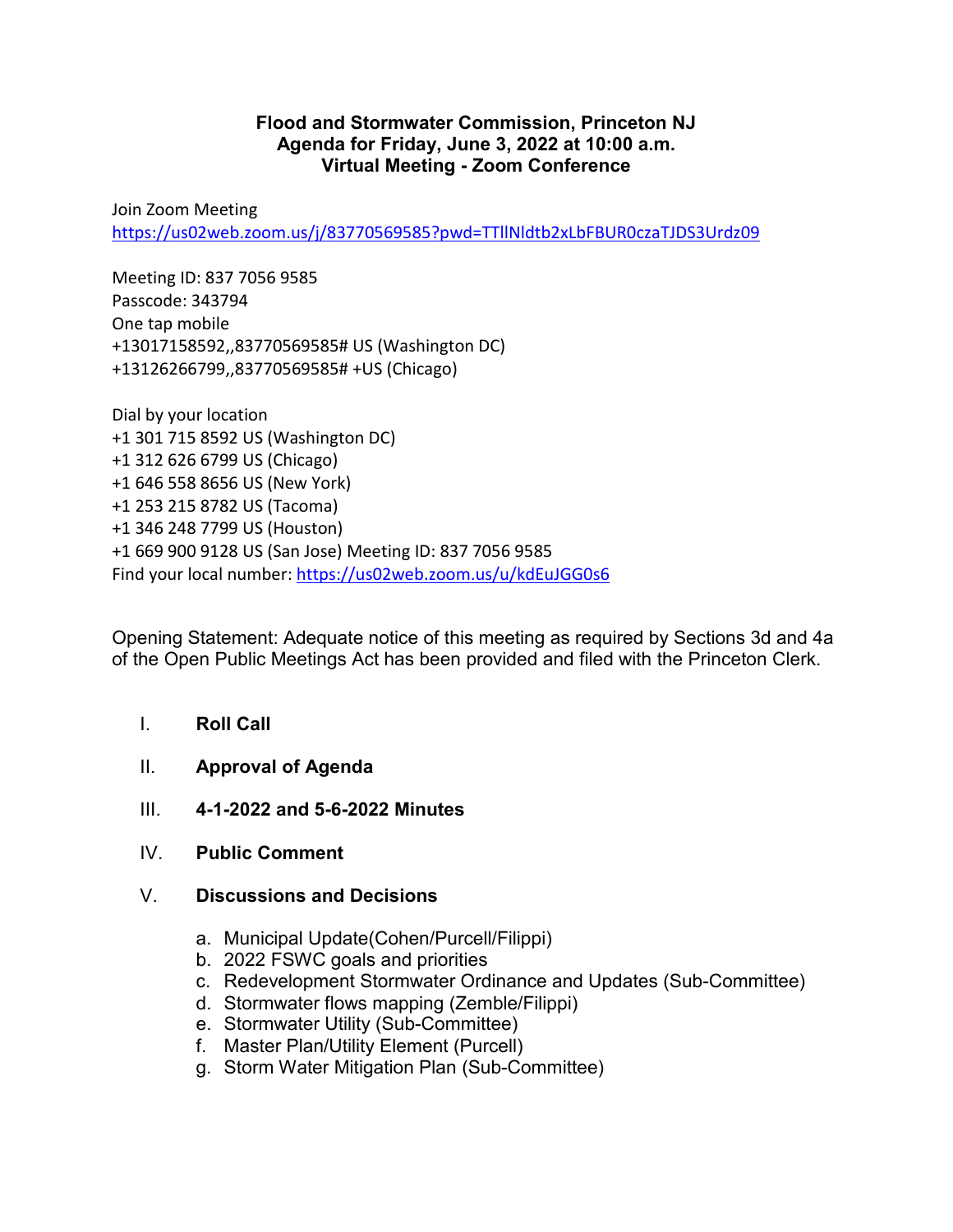## **Flood and Stormwater Commission, Princeton NJ Agenda for Friday, June 3, 2022 at 10:00 a.m. Virtual Meeting - Zoom Conference**

Join Zoom Meeting <https://us02web.zoom.us/j/83770569585?pwd=TTllNldtb2xLbFBUR0czaTJDS3Urdz09>

Meeting ID: 837 7056 9585 Passcode: 343794 One tap mobile +13017158592,,83770569585# US (Washington DC) +13126266799,,83770569585# +US (Chicago)

Dial by your location +1 301 715 8592 US (Washington DC) +1 312 626 6799 US (Chicago) +1 646 558 8656 US (New York) +1 253 215 8782 US (Tacoma) +1 346 248 7799 US (Houston) +1 669 900 9128 US (San Jose) Meeting ID: 837 7056 9585 Find your local number:<https://us02web.zoom.us/u/kdEuJGG0s6>

Opening Statement: Adequate notice of this meeting as required by Sections 3d and 4a of the Open Public Meetings Act has been provided and filed with the Princeton Clerk.

- I. **Roll Call**
- II. **Approval of Agenda**
- III. **4-1-2022 and 5-6-2022 Minutes**
- IV. **Public Comment**
- V. **Discussions and Decisions**
	- a. Municipal Update(Cohen/Purcell/Filippi)
	- b. 2022 FSWC goals and priorities
	- c. Redevelopment Stormwater Ordinance and Updates (Sub-Committee)
	- d. Stormwater flows mapping (Zemble/Filippi)
	- e. Stormwater Utility (Sub-Committee)
	- f. Master Plan/Utility Element (Purcell)
	- g. Storm Water Mitigation Plan (Sub-Committee)